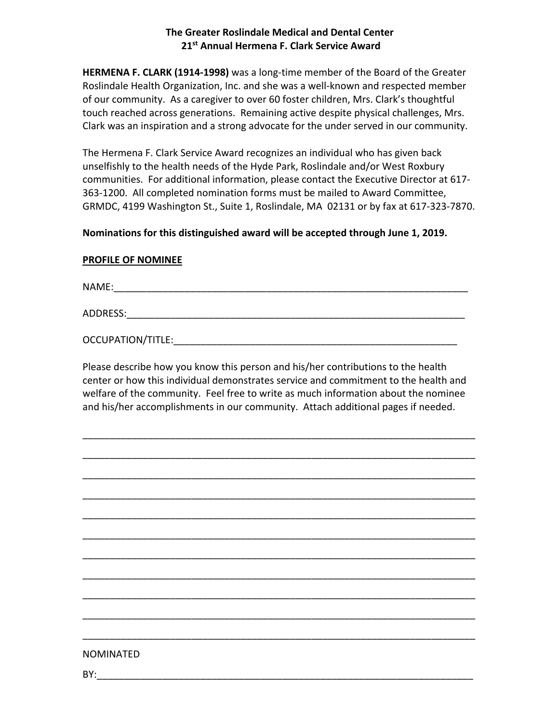## **The Greater Roslindale Medical and Dental Center 21st Annual Hermena F. Clark Service Award**

**HERMENA F. CLARK (1914-1998)** was a long-time member of the Board of the Greater Roslindale Health Organization, Inc. and she was a well-known and respected member of our community. As a caregiver to over 60 foster children, Mrs. Clark's thoughtful touch reached across generations. Remaining active despite physical challenges, Mrs. Clark was an inspiration and a strong advocate for the under served in our community.

The Hermena F. Clark Service Award recognizes an individual who has given back unselfishly to the health needs of the Hyde Park, Roslindale and/or West Roxbury communities. For additional information, please contact the Executive Director at 617- 363-1200. All completed nomination forms must be mailed to Award Committee, GRMDC, 4199 Washington St., Suite 1, Roslindale, MA 02131 or by fax at 617-323-7870.

## **Nominations for this distinguished award will be accepted through June 1, 2019.**

## **PROFILE OF NOMINEE**

NAME:

ADDRESS:\_\_\_\_\_\_\_\_\_\_\_\_\_\_\_\_\_\_\_\_\_\_\_\_\_\_\_\_\_\_\_\_\_\_\_\_\_\_\_\_\_\_\_\_\_\_\_\_\_\_\_\_\_\_\_\_\_\_\_\_\_\_

OCCUPATION/TITLE: www.assett.com/

Please describe how you know this person and his/her contributions to the health center or how this individual demonstrates service and commitment to the health and welfare of the community. Feel free to write as much information about the nominee and his/her accomplishments in our community. Attach additional pages if needed.

\_\_\_\_\_\_\_\_\_\_\_\_\_\_\_\_\_\_\_\_\_\_\_\_\_\_\_\_\_\_\_\_\_\_\_\_\_\_\_\_\_\_\_\_\_\_\_\_\_\_\_\_\_\_\_\_\_\_\_\_\_\_\_\_\_\_\_\_\_\_\_\_

\_\_\_\_\_\_\_\_\_\_\_\_\_\_\_\_\_\_\_\_\_\_\_\_\_\_\_\_\_\_\_\_\_\_\_\_\_\_\_\_\_\_\_\_\_\_\_\_\_\_\_\_\_\_\_\_\_\_\_\_\_\_\_\_\_\_\_\_\_\_\_\_

\_\_\_\_\_\_\_\_\_\_\_\_\_\_\_\_\_\_\_\_\_\_\_\_\_\_\_\_\_\_\_\_\_\_\_\_\_\_\_\_\_\_\_\_\_\_\_\_\_\_\_\_\_\_\_\_\_\_\_\_\_\_\_\_\_\_\_\_\_\_\_\_

\_\_\_\_\_\_\_\_\_\_\_\_\_\_\_\_\_\_\_\_\_\_\_\_\_\_\_\_\_\_\_\_\_\_\_\_\_\_\_\_\_\_\_\_\_\_\_\_\_\_\_\_\_\_\_\_\_\_\_\_\_\_\_\_\_\_\_\_\_\_\_\_

\_\_\_\_\_\_\_\_\_\_\_\_\_\_\_\_\_\_\_\_\_\_\_\_\_\_\_\_\_\_\_\_\_\_\_\_\_\_\_\_\_\_\_\_\_\_\_\_\_\_\_\_\_\_\_\_\_\_\_\_\_\_\_\_\_\_\_\_\_\_\_\_

\_\_\_\_\_\_\_\_\_\_\_\_\_\_\_\_\_\_\_\_\_\_\_\_\_\_\_\_\_\_\_\_\_\_\_\_\_\_\_\_\_\_\_\_\_\_\_\_\_\_\_\_\_\_\_\_\_\_\_\_\_\_\_\_\_\_\_\_\_\_\_\_

\_\_\_\_\_\_\_\_\_\_\_\_\_\_\_\_\_\_\_\_\_\_\_\_\_\_\_\_\_\_\_\_\_\_\_\_\_\_\_\_\_\_\_\_\_\_\_\_\_\_\_\_\_\_\_\_\_\_\_\_\_\_\_\_\_\_\_\_\_\_\_\_

\_\_\_\_\_\_\_\_\_\_\_\_\_\_\_\_\_\_\_\_\_\_\_\_\_\_\_\_\_\_\_\_\_\_\_\_\_\_\_\_\_\_\_\_\_\_\_\_\_\_\_\_\_\_\_\_\_\_\_\_\_\_\_\_\_\_\_\_\_\_\_\_

\_\_\_\_\_\_\_\_\_\_\_\_\_\_\_\_\_\_\_\_\_\_\_\_\_\_\_\_\_\_\_\_\_\_\_\_\_\_\_\_\_\_\_\_\_\_\_\_\_\_\_\_\_\_\_\_\_\_\_\_\_\_\_\_\_\_\_\_\_\_\_\_

\_\_\_\_\_\_\_\_\_\_\_\_\_\_\_\_\_\_\_\_\_\_\_\_\_\_\_\_\_\_\_\_\_\_\_\_\_\_\_\_\_\_\_\_\_\_\_\_\_\_\_\_\_\_\_\_\_\_\_\_\_\_\_\_\_\_\_\_\_\_\_\_

\_\_\_\_\_\_\_\_\_\_\_\_\_\_\_\_\_\_\_\_\_\_\_\_\_\_\_\_\_\_\_\_\_\_\_\_\_\_\_\_\_\_\_\_\_\_\_\_\_\_\_\_\_\_\_\_\_\_\_\_\_\_\_\_\_\_\_\_\_\_\_\_

## NOMINATED

BY:\_\_\_\_\_\_\_\_\_\_\_\_\_\_\_\_\_\_\_\_\_\_\_\_\_\_\_\_\_\_\_\_\_\_\_\_\_\_\_\_\_\_\_\_\_\_\_\_\_\_\_\_\_\_\_\_\_\_\_\_\_\_\_\_\_\_\_\_\_